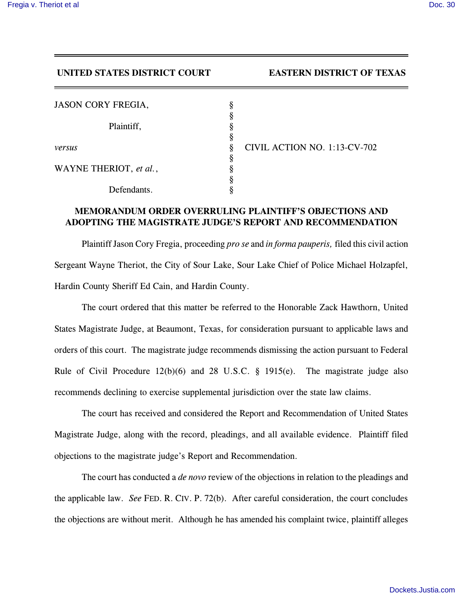## **UNITED STATES DISTRICT COURT EASTERN DISTRICT OF TEXAS**

| <b>JASON CORY FREGIA,</b> |        |                              |
|---------------------------|--------|------------------------------|
|                           | Ω      |                              |
| Plaintiff,                |        |                              |
| versus                    | O<br>8 | CIVIL ACTION NO. 1:13-CV-702 |
|                           | O      |                              |
| WAYNE THERIOT, et al.,    |        |                              |
|                           |        |                              |
| Defendants.               |        |                              |

## **MEMORANDUM ORDER OVERRULING PLAINTIFF'S OBJECTIONS AND ADOPTING THE MAGISTRATE JUDGE'S REPORT AND RECOMMENDATION**

Plaintiff Jason Cory Fregia, proceeding *pro se* and *in forma pauperis,* filed this civil action Sergeant Wayne Theriot, the City of Sour Lake, Sour Lake Chief of Police Michael Holzapfel, Hardin County Sheriff Ed Cain, and Hardin County.

The court ordered that this matter be referred to the Honorable Zack Hawthorn, United States Magistrate Judge, at Beaumont, Texas, for consideration pursuant to applicable laws and orders of this court. The magistrate judge recommends dismissing the action pursuant to Federal Rule of Civil Procedure 12(b)(6) and 28 U.S.C. § 1915(e). The magistrate judge also recommends declining to exercise supplemental jurisdiction over the state law claims.

The court has received and considered the Report and Recommendation of United States Magistrate Judge, along with the record, pleadings, and all available evidence. Plaintiff filed objections to the magistrate judge's Report and Recommendation.

The court has conducted a *de novo* review of the objections in relation to the pleadings and the applicable law. *See* FED. R. CIV. P. 72(b). After careful consideration, the court concludes the objections are without merit. Although he has amended his complaint twice, plaintiff alleges